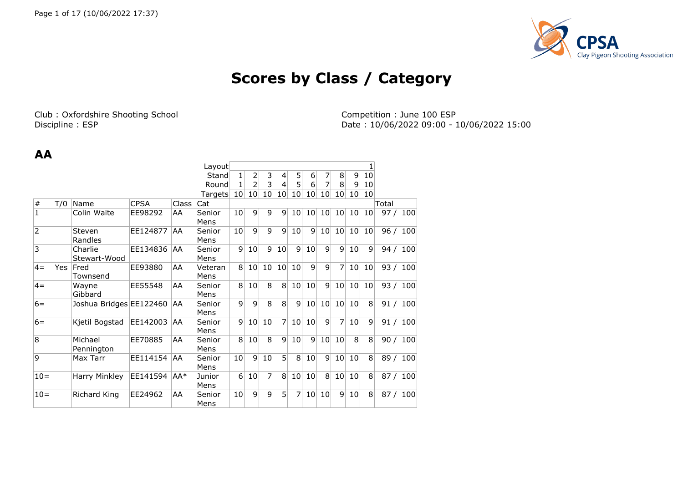

# **Scores by Class / Category**

Club : Oxfordshire Shooting School Club : Oxfordshire Shooting School Competition : June 100 ESP<br>Discipline : ESP Discipline : ESP Date : 10/06/2022 09:00 - 1

Date: 10/06/2022 09:00 - 10/06/2022 15:00

#### **AA**

|                |     |                         |             |              | Layout          |                  |                |                |                 |                 |                 |                 |                 |                 |                 |          |     |
|----------------|-----|-------------------------|-------------|--------------|-----------------|------------------|----------------|----------------|-----------------|-----------------|-----------------|-----------------|-----------------|-----------------|-----------------|----------|-----|
|                |     |                         |             |              | Stand           | $\mathbf{1}$     | 2              | $\overline{3}$ | $\overline{4}$  | 5 <sup>1</sup>  | $6 \mid$        | 7               | 8 <sup>°</sup>  | $\overline{9}$  | 10              |          |     |
|                |     |                         |             |              | Round           | 1                | $\overline{2}$ | $\overline{3}$ | $\vert 4 \vert$ | 5 <sup>1</sup>  | 6               | 7               | 8 <sup>1</sup>  | 9               | 10 <sup>1</sup> |          |     |
|                |     |                         |             |              | Targets         | 10 <sup>1</sup>  | 10             | 10             | 10 <sup>1</sup> | 10 <sup>1</sup> | 10              | 10              | 10              | 10              | 10              |          |     |
| $\vert \#$     | T/0 | Name                    | <b>CPSA</b> | <b>Class</b> | Cat             |                  |                |                |                 |                 |                 |                 |                 |                 |                 | Total    |     |
| $\mathbf 1$    |     | Colin Waite             | EE98292     | AA           | Senior<br>Mens  | 10 <sup>1</sup>  | 9              | 9              | 9 <sup>1</sup>  | 10 <sup>1</sup> | 10 <sup>1</sup> | 10 <sup>1</sup> | 10 <sup>1</sup> | 10              | 10              | 97 $/$   | 100 |
| $\overline{2}$ |     | Steven<br>Randles       | EE124877    | AA           | Senior<br>Mens  | 10 <sup>1</sup>  | 9              | 9              | $\mathsf{q}$    | 10 <sup>1</sup> | $\mathsf{q}$    | 10 <sup>1</sup> | 10 <sup>1</sup> | 10 <sup>1</sup> | 10 <sub>1</sub> | 96 / 100 |     |
| $\overline{3}$ |     | Charlie<br>Stewart-Wood | EE134836    | AA           | Senior<br>Mens  | $\overline{9}$   | 10             | $\mathbf{q}$   | 10              | $\mathsf{q}$    | 10              | $\mathsf{q}$    | 9               | 10              | $\overline{9}$  | 94 / 100 |     |
| $4 =$          | Yes | Fred<br>Townsend        | EE93880     | AA           | Veteran<br>Mens | 8 <sup>1</sup>   | 10             | 10             | 10 <sup>1</sup> | 10              | $\mathsf{q}$    | $\vert 9 \vert$ | $\overline{7}$  | 10              | 10 <sub>1</sub> | 93 / 100 |     |
| $4 =$          |     | Wayne<br>Gibbard        | EE55548     | AA           | Senior<br>Mens  | 8 <sup>1</sup>   | 10             | $\overline{8}$ | 8 <sup>1</sup>  | 10 <sup>1</sup> | 10              | $\overline{9}$  | 10              | 10              | 10              | 93 / 100 |     |
| $6=$           |     | Joshua Bridges EE122460 |             | AA           | Senior<br>Mens  | $\mathsf{g}$     | 9              | 8              | 8               | 9 <sup>1</sup>  | 10              | 10              | 10              | 10              | 8               | 91 / 100 |     |
| $6=$           |     | Kjetil Bogstad          | EE142003    | AA           | Senior<br>Mens  | $\overline{9}$   | 10             | 10             | 7 <sup>1</sup>  | 10 <sup>1</sup> | 10 <sup>1</sup> | $\mathsf{q}$    | $\overline{7}$  | 10 <sup>1</sup> | $\overline{9}$  | 91 /     | 100 |
| $\overline{8}$ |     | Michael<br>Pennington   | EE70885     | AA           | Senior<br>Mens  | 8 <sup>1</sup>   | 10             | 8              | 9               | 10 <sup>1</sup> | 9               | 10              | 10              | 8               | 8               | 90 / 100 |     |
| 9              |     | Max Tarr                | EE114154    | AA           | Senior<br>Mens  | 10               | 9              | 10             | 5               | 8               | 10              | 9               | 10              | 10              | 8               | 89 / 100 |     |
| $10 =$         |     | Harry Minkley           | EE141594    | AA*          | Junior<br>Mens  | $6 \overline{6}$ | 10             | 7              | 8               | 10 <sup>1</sup> | 10              | 8               | 10              | 10              | 8               | 87 / 100 |     |
| $10=$          |     | Richard King            | EE24962     | AA           | Senior<br>Mens  | 10               | 9              | 9              | 5               | 7               | 10              | 10 <sup>1</sup> | 9               | 10 <sup>1</sup> | 8               | 87/      | 100 |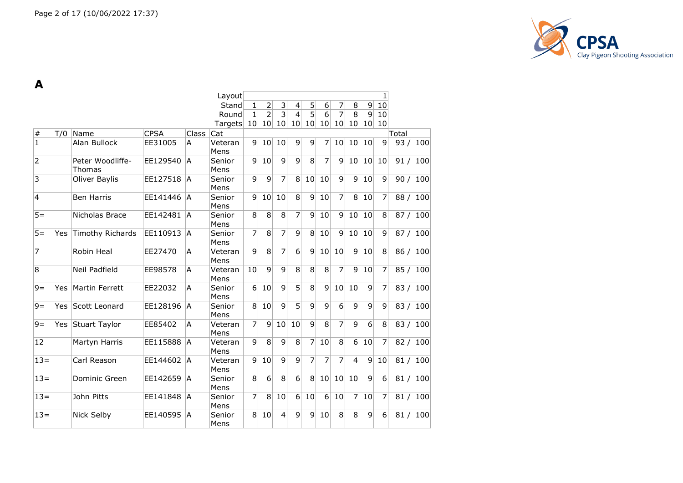

**A**

|                |      |                            |             |              | Layout          |                  |                 |                |                  |                |                  |                |                 |                 | 1               |       |          |
|----------------|------|----------------------------|-------------|--------------|-----------------|------------------|-----------------|----------------|------------------|----------------|------------------|----------------|-----------------|-----------------|-----------------|-------|----------|
|                |      |                            |             |              | Stand           | $\mathbf{1}$     | $\overline{2}$  | 3              | 4                | 5              | $6 \overline{6}$ | 7              | 8               | 9               | 10              |       |          |
|                |      |                            |             |              | Round           | $\mathbf{1}$     | $\overline{2}$  | $\overline{3}$ | $\overline{4}$   | $\overline{5}$ | $\overline{6}$   | $\overline{7}$ | $\overline{8}$  | $\overline{9}$  | 10              |       |          |
|                |      |                            |             |              | Targets         | 10               | 10              | 10             | 10               | 10             | 10               | 10             | 10 <sup>1</sup> | 10 <sup>1</sup> | 10              |       |          |
| $\#$           | T/0  | Name                       | <b>CPSA</b> | <b>Class</b> | Cat             |                  |                 |                |                  |                |                  |                |                 |                 |                 | Total |          |
| $\mathbf{1}$   |      | Alan Bullock               | EE31005     | A            | Veteran<br>Mens | $\mathbf{q}$     | 10              | 10             | $\overline{9}$   | $\overline{9}$ | 7                | 10             | 10              | 10              | $\overline{9}$  |       | 93 / 100 |
| $\overline{2}$ |      | Peter Woodliffe-<br>Thomas | EE129540    | ÌА           | Senior<br>Mens  | 9                | 10              | 9              | 9                | 8              | 7                | 9              | 10              | 10              | 10              |       | 91 / 100 |
| 3              |      | Oliver Baylis              | EE127518    | ΙA           | Senior<br>Mens  | 9                | 9               | 7              | 8                | 10             | 10               | 9              | $\overline{9}$  | 10              | 9               |       | 90 / 100 |
| $\overline{4}$ |      | <b>Ben Harris</b>          | EE141446    | IA.          | Senior<br>Mens  | 9                | 10              | 10             | $\overline{8}$   | 9              | 10               | 7              | 8               | 10              | 7               |       | 88 / 100 |
| $5 =$          |      | Nicholas Brace             | EE142481    | <b>A</b>     | Senior<br>Mens  | 8                | 8               | 8              | 7                | 9              | 10               | 9              | 10              | 10              | 8               |       | 87 / 100 |
| $5 =$          | Yes  | Timothy Richards           | EE110913    | <b>A</b>     | Senior<br>Mens  | 7                | 8               | 7              | 9                | 8              | 10               | 9              | 10              | 10              | 9               |       | 87 / 100 |
| $\overline{7}$ |      | Robin Heal                 | EE27470     | A            | Veteran<br>Mens | 9                | $\overline{8}$  | 7              | $\overline{6}$   | $\overline{9}$ | 10               | 10             | $\overline{9}$  | 10              | 8               |       | 86 / 100 |
| 8              |      | Neil Padfield              | EE98578     | A            | Veteran<br>Mens | 10               | $\overline{9}$  | $\overline{9}$ | 8                | 8              | 8                | 7              | $\overline{9}$  | 10              | 7               |       | 85 / 100 |
| $9 =$          | Yes. | Martin Ferrett             | EE22032     | A            | Senior<br>Mens  | $6 \overline{6}$ | 10              | 9              | $\overline{5}$   | 8              | 9                | 10             | 10              | 9               | 7               |       | 83 / 100 |
| $9=$           | Yes. | Scott Leonard              | EE128196    | l A          | Senior<br>Mens  | 8                | 10              | 9              | $\overline{5}$   | 9              | 9                | $6\phantom{1}$ | 9               | 9               | 9               |       | 83 / 100 |
| $9 =$          |      | Yes Stuart Taylor          | EE85402     | A            | Veteran<br>Mens | $\overline{7}$   | 9               | 10             | 10               | 9              | 8                | 7              | 9               | $6\phantom{1}$  | 8               |       | 83 / 100 |
| 12             |      | Martyn Harris              | EE115888    | IA.          | Veteran<br>Mens | 9                | 8               | 9              | 8 <sup>°</sup>   | $\overline{7}$ | 10               | 8              | $6 \vert$       | 10              | 7               |       | 82 / 100 |
| $13 =$         |      | Carl Reason                | EE144602    | IA.          | Veteran<br>Mens | 9                | 10              | $\overline{9}$ | 9                | 7              | 7                | 7              | $\overline{4}$  | $\vert 9 \vert$ | 10              |       | 81 / 100 |
| $13 =$         |      | Dominic Green              | EE142659    | IA.          | Senior<br>Mens  | $\bf8$           | $6\overline{6}$ | 8              | $6 \overline{6}$ | $\overline{8}$ | 10               | 10             | 10              | $\overline{9}$  | $6\overline{6}$ |       | 81 / 100 |
| $13 =$         |      | John Pitts                 | EE141848    | IA.          | Senior<br>Mens  | $\overline{7}$   | 8               | 10             | $6 \mid$         | 10             | $\overline{6}$   | 10             | $\overline{7}$  | 10              | 7               |       | 81 / 100 |
| $13=$          |      | Nick Selby                 | EE140595    | <b>A</b>     | Senior<br>Mens  | 8                | 10              | 4              | 9                | 9              | 10               | 8              | 8               | 9               | 6               |       | 81 / 100 |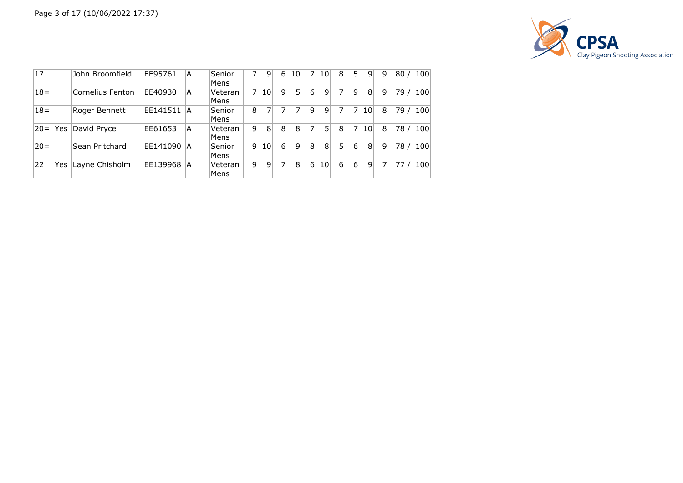

| 17     |      | John Broomfield  | EE95761  | A  | Senior<br>Mens  |   | 9               | 6 | 10             | 7        | 10              | 8              | 5                | 9               | 9 | 80/  | 100 |
|--------|------|------------------|----------|----|-----------------|---|-----------------|---|----------------|----------|-----------------|----------------|------------------|-----------------|---|------|-----|
| $18 =$ |      | Cornelius Fenton | EE40930  | A  | Veteran<br>Mens |   | 10 <sup>1</sup> | 9 | 5.             | $6 \mid$ | 9               |                | 9                | 8               | 9 | 79 / | 100 |
| $18 =$ |      | Roger Bennett    | EE141511 | ۱A | Senior<br>Mens  | 8 | 7               |   |                | 9        | 9               |                |                  | 10              | 8 | 79 / | 100 |
| $20 =$ | Yes. | David Pryce      | EE61653  | А  | Veteran<br>Mens | 9 | 8               | 8 | 8              | 7        | 5               | 8              |                  | 10 <sup>1</sup> | 8 | 78 / | 100 |
| $20 =$ |      | Sean Pritchard   | EE141090 | ΙA | Senior<br>Mens  | 9 | 10 <sup>1</sup> | 6 | 9              | 8        | 8               | 5 <sub>1</sub> | $6 \overline{6}$ | 8               | 9 | 78 / | 100 |
| 22     | Yes  | Layne Chisholm   | EE139968 | ΙA | Veteran<br>Mens | 9 | 9               | 7 | 8 <sup>1</sup> | 6        | 10 <sup>1</sup> | $6 \vert$      | 6 <sup>1</sup>   | 9               |   |      | 100 |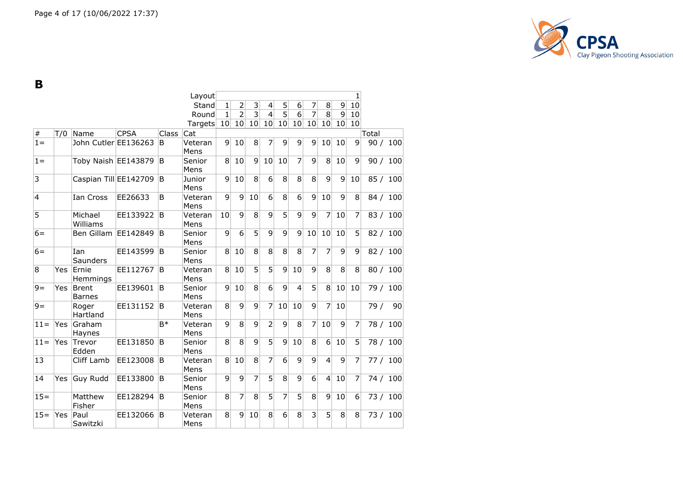

**B**

|        |      |                               |             |       | Layout          |                |                |                |                          |                |                |                |                  |    | 1  |       |          |
|--------|------|-------------------------------|-------------|-------|-----------------|----------------|----------------|----------------|--------------------------|----------------|----------------|----------------|------------------|----|----|-------|----------|
|        |      |                               |             |       | Stand           | 1              | 2              | 3              | $\overline{\mathcal{L}}$ | 5              | 6              | 7              | 8                | 9  | 10 |       |          |
|        |      |                               |             |       | Round           | 1              | $\overline{2}$ | $\overline{3}$ | $\overline{4}$           | $\overline{5}$ | $\overline{6}$ | $\overline{7}$ | 8                | 9  | 10 |       |          |
|        |      |                               |             |       | Targets         | 10             | 10             | 10             | 10                       | 10             | 10             | 10             | 10               | 10 | 10 |       |          |
| $\#$   | T/0  | Name                          | <b>CPSA</b> | Class | Cat             |                |                |                |                          |                |                |                |                  |    |    | Total |          |
| $1 =$  |      | John Cutler EE136263          |             | B     | Veteran<br>Mens | 9              | 10             | 8              | 7                        | 9              | 9              | 9              | 10               | 10 | 9  |       | 90 / 100 |
| $1 =$  |      | Toby Naish EE143879           |             | B     | Senior<br>Mens  | 8              | 10             | 9              | 10                       | 10             | 7              | 9              | 8                | 10 | 9  |       | 90 / 100 |
| 3      |      | Caspian Till EE142709         |             | B     | Junior<br>Mens  | 9              | 10             | 8              | 6                        | 8              | 8              | 8              | 9                | 9  | 10 |       | 85 / 100 |
| 4      |      | Ian Cross                     | EE26633     | B     | Veteran<br>Mens | 9              | 9              | 10             | 6                        | 8              | 6              | 9              | 10               | 9  | 8  |       | 84 / 100 |
| 5      |      | Michael<br>Williams           | EE133922    | B     | Veteran<br>Mens | 10             | 9              | 8              | 9                        | 5              | 9              | 9              | 7                | 10 | 7  |       | 83 / 100 |
| $6=$   |      | Ben Gillam EE142849           |             | B     | Senior<br>Mens  | 9              | 6              | 5              | 9                        | 9              | 9              | 10             | 10               | 10 | 5  |       | 82 / 100 |
| $6=$   |      | Ian<br>Saunders               | EE143599    | B     | Senior<br>Mens  | 8 <sup>1</sup> | 10             | 8              | 8                        | 8              | $\overline{8}$ | $\overline{7}$ | 7                | 9  | 9  |       | 82 / 100 |
| 8      | Yes. | Ernie<br>Hemmings             | EE112767    | B     | Veteran<br>Mens | 8 <sup>1</sup> | 10             | 5              | 5                        | 9              | 10             | 9              | 8                | 8  | 8  |       | 80 / 100 |
| $9 =$  | Yes  | <b>Brent</b><br><b>Barnes</b> | EE139601    | B     | Senior<br>Mens  | 9              | 10             | 8              | $6 \overline{6}$         | 9              | $\overline{4}$ | $\overline{5}$ | 8                | 10 | 10 |       | 79 / 100 |
| $9 =$  |      | Roger<br>Hartland             | EE131152    | B     | Veteran<br>Mens | 8              | 9              | 9              | 7                        | 10             | 10             | 9              | 7                | 10 |    | 79/   | 90       |
| $11 =$ | Yes  | Graham<br>Haynes              |             | B*    | Veteran<br>Mens | 9              | 8              | 9              | $\overline{2}$           | 9              | 8              | $\overline{7}$ | 10               | 9  | 7  |       | 78 / 100 |
| $11 =$ | Yes  | Trevor<br>Edden               | EE131850    | B     | Senior<br>Mens  | 8              | 8              | 9              | $\overline{5}$           | 9              | 10             | 8              | $6 \overline{6}$ | 10 | 5  |       | 78 / 100 |
| 13     |      | Cliff Lamb                    | EE123008    | ΙB    | Veteran<br>Mens | 8 <sup>1</sup> | 10             | 8              | $\overline{7}$           | $\overline{6}$ | 9              | 9              | $\overline{4}$   | 9  | 7  |       | 77 / 100 |
| 14     | Yes  | Guy Rudd                      | EE133800    | B     | Senior<br>Mens  | 9              | 9              | $\overline{7}$ | $\overline{5}$           | $\overline{8}$ | 9              | $\overline{6}$ | $\overline{4}$   | 10 | 7  |       | 74 / 100 |
| $15 =$ |      | Matthew<br>Fisher             | EE128294    | ΙB    | Senior<br>Mens  | 8              | 7              | 8              | 5 <sup>1</sup>           | $\overline{7}$ | $\overline{5}$ | 8              | 9                | 10 | 6  |       | 73 / 100 |
| $15 =$ | Yes  | Paul<br>Sawitzki              | EE132066    | ΙB    | Veteran<br>Mens | 8              | $\mathbf{q}$   | 10             | 8                        | 6              | 8              | $\overline{3}$ | 5                | 8  | 8  |       | 73 / 100 |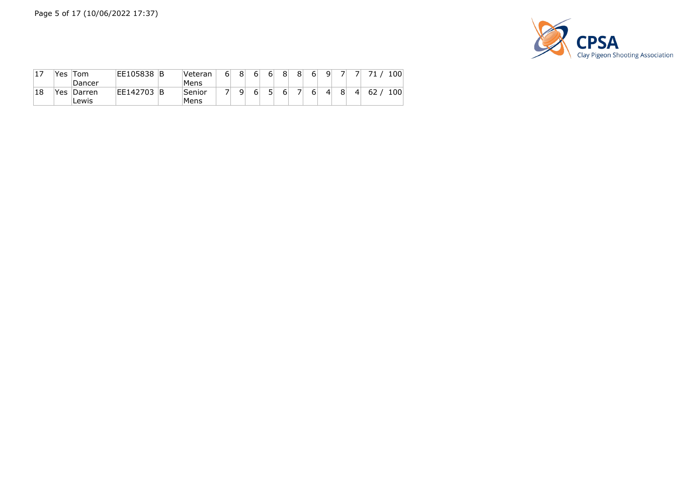

| ⊥ / | Yes | ⊺om    | EE105838 | Β | Veteran | 6 <sub>1</sub> | 8 | 6 | 6 | 8 | 8 | 6 <sub>1</sub> | ۹l             |   |    | 100 |
|-----|-----|--------|----------|---|---------|----------------|---|---|---|---|---|----------------|----------------|---|----|-----|
|     |     | Dancer |          |   | Mens    |                |   |   |   |   |   |                |                |   |    |     |
| 18  | Yes | Darren | EE142703 | B | Senior  |                | q | 6 | 5 |   |   | 6              | $\overline{4}$ | 4 | 62 | 100 |
|     |     | Lewis  |          |   | Mens    |                |   |   |   |   |   |                |                |   |    |     |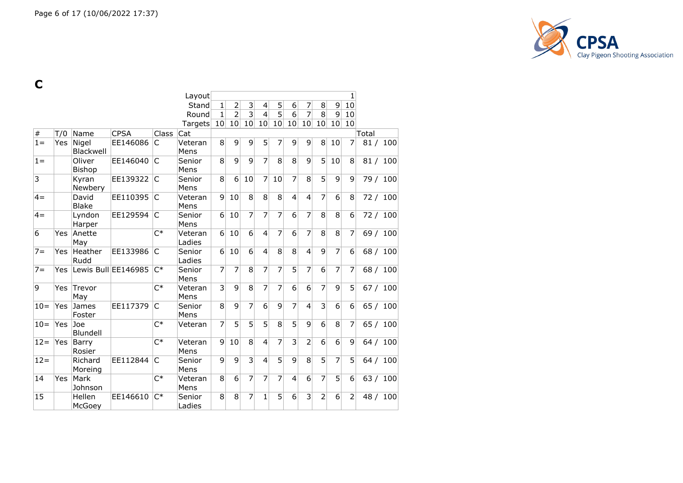

**C**

|                |            |                         |                     |              | Layout            |                 |                  |                |                |                |                |                |                |                 | 1                |       |          |
|----------------|------------|-------------------------|---------------------|--------------|-------------------|-----------------|------------------|----------------|----------------|----------------|----------------|----------------|----------------|-----------------|------------------|-------|----------|
|                |            |                         |                     |              | Stand             | 1               | $\overline{2}$   | 3              | 4              | 5              | 6              | $\overline{7}$ | 8              | 9               | 10               |       |          |
|                |            |                         |                     |              | Round             | 1               | $\overline{2}$   | $\overline{3}$ | $\overline{4}$ | $\overline{5}$ | 6              | 7              | 8              | 9               | 10               |       |          |
|                |            |                         |                     |              | Targets           | 10 <sup>1</sup> | 10               | 10             | 10             | 10             | 10             | 10             | 10             | 10 <sup>1</sup> | 10               |       |          |
| $\#$           | T/0        | Name                    | <b>CPSA</b>         | Class        | Cat               |                 |                  |                |                |                |                |                |                |                 |                  | Total |          |
| $1 =$          | Yes        | Nigel<br>Blackwell      | EE146086            | IC           | Veteran<br>Mens   | 8               | 9                | 9              | 5              | 7              | 9              | 9              | 8              | 10              | 7                | 81/   | 100      |
| $1 =$          |            | Oliver<br><b>Bishop</b> | EE146040            | IC           | Senior<br>Mens    | 8               | 9                | 9              | $\overline{7}$ | 8              | 8              | 9              | 5              | 10              | 8                |       | 81 / 100 |
| $\overline{3}$ |            | Kyran<br>Newbery        | EE139322            | IC.          | Senior<br>Mens    | 8               | $6 \overline{6}$ | 10             | 7              | 10             | $\overline{7}$ | 8              | 5              | 9               | 9                | 79/   | 100      |
| $4=$           |            | David<br><b>Blake</b>   | EE110395            | IC.          | Veteran<br>Mens   | $\vert 9 \vert$ | 10               | 8              | 8              | 8              | $\overline{4}$ | $\overline{4}$ | $\overline{7}$ | $\overline{6}$  | 8                |       | 72 / 100 |
| $4=$           |            | Lyndon<br>Harper        | EE129594            | C            | Senior<br>Mens    | 6               | 10               | 7              | $\overline{7}$ | 7              | 6              | $\overline{7}$ | 8              | $\overline{8}$  | 6                |       | 72 / 100 |
| 6              | <b>Yes</b> | Anette<br>May           |                     | $C^*$        | Veteran<br>Ladies | 6 <sup>1</sup>  | 10               | 6              | $\overline{4}$ | 7              | 6              | $\overline{7}$ | 8              | 8               | 7                | 69 /  | 100      |
| $7 =$          | Yes        | Heather<br>Rudd         | EE133986            | C            | Senior<br>Ladies  | $6\vert$        | 10               | $\overline{6}$ | $\overline{4}$ | $\overline{8}$ | $\overline{8}$ | $\overline{4}$ | $\overline{9}$ | $\overline{7}$  | $6 \overline{6}$ | 68/   | 100      |
| $7 =$          | Yes.       |                         | Lewis Bull EE146985 | $C^*$        | Senior<br>Mens    | 7               | $\overline{7}$   | 8              | $\overline{7}$ | $\overline{7}$ | $\overline{5}$ | $\overline{7}$ | 6              | $\overline{7}$  | $\overline{7}$   |       | 68 / 100 |
| 9              | Yes        | Trevor<br>May           |                     | $C^*$        | Veteran<br>Mens   | 3               | 9                | 8              | 7              | 7              | 6              | 6              | 7              | 9               | 5                |       | 67 / 100 |
| $10=$          | Yes        | James<br>Foster         | EE117379            | C            | Senior<br>Mens    | 8               | 9                | 7              | 6              | 9              | 7              | 4              | 3              | 6               | 6                |       | 65 / 100 |
| $10=$          | <b>Yes</b> | Joe<br>Blundell         |                     | $C^*$        | Veteran           | 7               | 5                | 5              | $\overline{5}$ | 8              | 5              | 9              | 6              | 8               | $\overline{7}$   | 65/   | 100      |
| $12 =$         | Yes        | Barry<br>Rosier         |                     | $C^*$        | Veteran<br>Mens   | 9               | 10               | 8              | $\overline{4}$ | $\overline{7}$ | 3              | $\overline{2}$ | 6              | 6               | 9                |       | 64 / 100 |
| $12 =$         |            | Richard<br>Moreing      | EE112844            | $\mathsf{C}$ | Senior<br>Mens    | 9               | 9                | 3              | $\overline{4}$ | 5              | 9              | 8              | 5              | $\overline{7}$  | 5                |       | 64 / 100 |
| 14             | Yes        | Mark<br>Johnson         |                     | $C^*$        | Veteran<br>Mens   | 8               | 6                | 7              | 7              | 7              | $\overline{4}$ | 6              | 7              | 5               | 6                | 63/   | 100      |
| 15             |            | Hellen<br>McGoey        | EE146610            | $C^*$        | Senior<br>Ladies  | 8               | 8                | 7              | 1              | 5              | 6              | $\overline{3}$ | $\overline{2}$ | 6               | $\overline{2}$   | 48/   | 100      |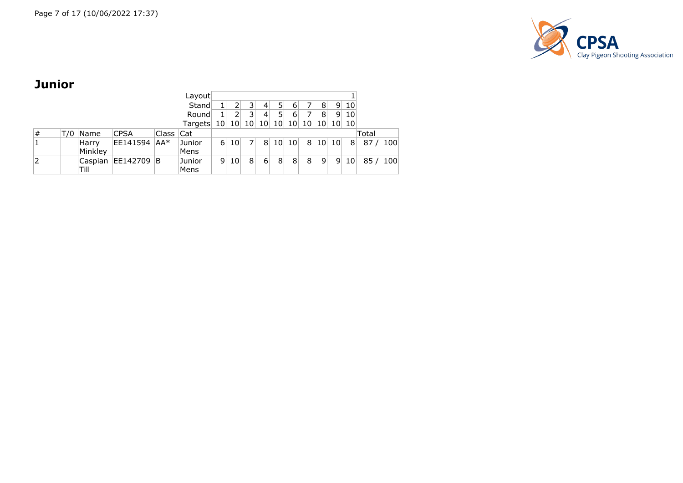

## **Junior**

|   |     |                  |              |           | Layout         |                 |                 |                |                |                 |                 |                      |   |       |                 |              |     |
|---|-----|------------------|--------------|-----------|----------------|-----------------|-----------------|----------------|----------------|-----------------|-----------------|----------------------|---|-------|-----------------|--------------|-----|
|   |     |                  |              |           | Stand          |                 | 2 <sup>1</sup>  |                | 4              | 5               | 6               |                      | 8 | 9     | 10              |              |     |
|   |     |                  |              |           | Round          |                 | $\overline{2}$  |                | $\overline{4}$ | 5               | 6               |                      | 8 | -91   | 10              |              |     |
|   |     |                  |              |           | Targets        | 10 <sub>1</sub> |                 | 10 10          |                |                 |                 | 10 10 10 10 10 10 10 |   |       |                 |              |     |
| # | T/0 | Name             | <b>CPSA</b>  | Class Cat |                |                 |                 |                |                |                 |                 |                      |   |       |                 | <b>Total</b> |     |
|   |     | Harry<br>Minkley | EE141594 AA* |           | Junior<br>Mens | 6               | 10 <sub>1</sub> |                | 8              | 10 <sup>1</sup> | 10 <sup>1</sup> | 8 <sup>°</sup>       |   | 10 10 | 8               | 87/          | 100 |
| 2 |     | Caspian<br>Till  | EE142709 B   |           | Junior<br>Mens | 9               | 10 <sup>1</sup> | 8 <sup>1</sup> | 6              | 8 <sup>1</sup>  | 8 <sup>1</sup>  | 8                    | 9 | 9     | 10 <sub>1</sub> | 85/100       |     |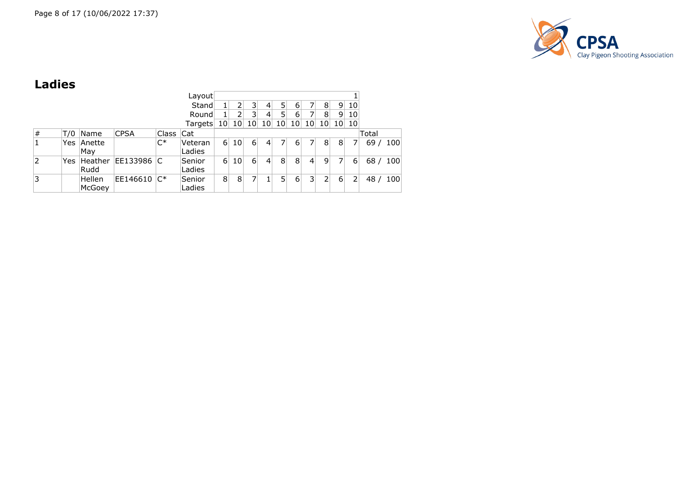

## **Ladies**

|      |     |         |             |                | Layout     |                 |                 |                 |                 |                 |                 |                 |                 |                |                 |       |     |
|------|-----|---------|-------------|----------------|------------|-----------------|-----------------|-----------------|-----------------|-----------------|-----------------|-----------------|-----------------|----------------|-----------------|-------|-----|
|      |     |         |             |                | Stand      | 1               | 2               | 3               | 4               | 5               | 6               |                 | 8               | 9              | 10 <sup>1</sup> |       |     |
|      |     |         |             |                | Round      |                 | 2               | 3               | 4               |                 | 6               |                 | 8               | 9 <sub>1</sub> | 10              |       |     |
|      |     |         |             |                | Targets    | 10 <sup>1</sup> | 10 <sup>1</sup> | 10 <sup>1</sup> | 10 <sup>1</sup> | 10 <sub>l</sub> | 10 <sub>1</sub> | 10 <sup>1</sup> | 10 <sup>1</sup> | 10 10          |                 |       |     |
| $\#$ | T/0 | Name    | <b>CPSA</b> | Class          | <b>Cat</b> |                 |                 |                 |                 |                 |                 |                 |                 |                |                 | Total |     |
|      | Yes | Anette  |             | $C^*$          | Veteran    | $6 \mid$        | 10 <sup>1</sup> | 6               | 4               |                 | 6               |                 | 8               | 8              |                 | 69/   | 100 |
|      |     | May     |             |                | Ladies     |                 |                 |                 |                 |                 |                 |                 |                 |                |                 |       |     |
| 2    | Yes | Heather | EE133986    | C              | Senior     | 6               | 10 <sup>1</sup> | 6               | 4               | 8               | 8               | $\vert 4 \vert$ | 9               | 7              | 6               | 68/   | 100 |
|      |     | Rudd    |             |                | Ladies     |                 |                 |                 |                 |                 |                 |                 |                 |                |                 |       |     |
| 3    |     | Hellen  | EE146610    | $\mathsf{C}^*$ | Senior     | 8               | 8               |                 |                 | 51              | 6               | 31              | 2               | 6              |                 | 48/   | 100 |
|      |     | McGoey  |             |                | Ladies     |                 |                 |                 |                 |                 |                 |                 |                 |                |                 |       |     |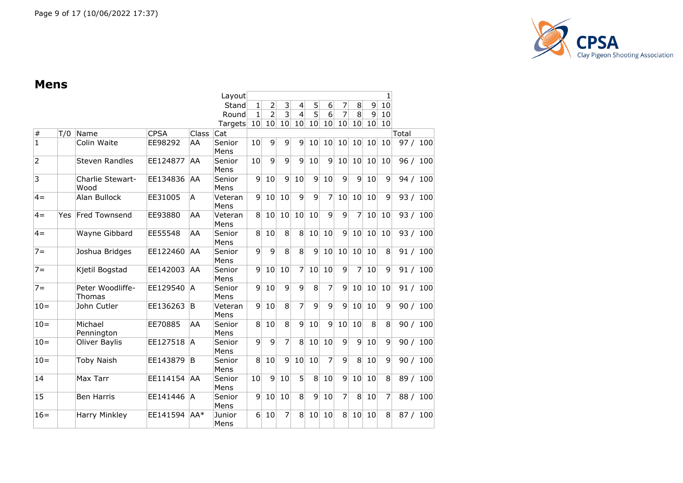

#### **Mens**

|                |            |                                   |             |              | Layout          |                 |                |                |                 |                |                |                |                |                 | 1            |            |
|----------------|------------|-----------------------------------|-------------|--------------|-----------------|-----------------|----------------|----------------|-----------------|----------------|----------------|----------------|----------------|-----------------|--------------|------------|
|                |            |                                   |             |              | Stand           | $\mathbf{1}$    | 2              | 3              | 4               | 5              | 6              | 7              | 8              | $\mathsf{g}$    | 10           |            |
|                |            |                                   |             |              | Round           | 1               | $\overline{2}$ | $\overline{3}$ | $\overline{4}$  | $\overline{5}$ | $\overline{6}$ | 7              | 8              | 9               | 10           |            |
|                |            |                                   |             |              | Targets         | 10 <sup>1</sup> | 10             | 10             | 10 <sup>1</sup> | 10             | 10             | 10             | 10             | 10 <sub>1</sub> | 10           |            |
| $\#$           | T/0        | Name                              | <b>CPSA</b> | <b>Class</b> | Cat             |                 |                |                |                 |                |                |                |                |                 |              | Total      |
| $\mathbf{1}$   |            | Colin Waite                       | EE98292     | AA           | Senior<br>Mens  | 10              | 9              | 9              | 9               | 10             | 10             | 10             | 10             | 10              | 10           | 97 / 100   |
| 2              |            | <b>Steven Randles</b>             | EE124877    | AA           | Senior<br>Mens  | 10              | 9              | 9              | 9               | 10             | $\overline{9}$ | 10             | 10             | 10              | 10           | 96/<br>100 |
| $\overline{3}$ |            | Charlie Stewart-<br>Wood          | EE134836    | AA.          | Senior<br>Mens  | 9               | 10             | $\overline{9}$ | 10              | 9              | 10             | 9              | 9              | 10              | $\mathsf{q}$ | 94 / 100   |
| $4 =$          |            | Alan Bullock                      | EE31005     | A            | Veteran<br>Mens | $\mathbf{q}$    | 10             | 10             | $\overline{9}$  | $\overline{9}$ | 7              | 10             | 10             | 10              | 9            | 93 / 100   |
| $4 =$          | <b>Yes</b> | Fred Townsend                     | EE93880     | AA           | Veteran<br>Mens | 8               | 10             | 10             | 10              | 10             | $\overline{9}$ | $\overline{9}$ | $\overline{7}$ | 10              | 10           | 93 / 100   |
| $4 =$          |            | Wayne Gibbard                     | EE55548     | AA           | Senior<br>Mens  | 8               | 10             | 8              | 8               | 10             | 10             | $\overline{9}$ | 10             | 10              | 10           | 93 / 100   |
| $7 =$          |            | Joshua Bridges                    | EE122460    | AA           | Senior<br>Mens  | 9               | 9              | 8              | $\overline{8}$  | $\overline{9}$ | 10             | 10             | 10             | 10              | 8            | 91/<br>100 |
| $7 =$          |            | Kjetil Bogstad                    | EE142003    | AA.          | Senior<br>Mens  | 9               | 10             | 10             | 7               | 10             | 10             | 9              | 7              | 10              | 9            | 91 / 100   |
| $7 =$          |            | Peter Woodliffe-<br><b>Thomas</b> | EE129540    | ÌА           | Senior<br>Mens  | 9               | 10             | 9              | 9               | 8              | 7              | 9              | 10             | 10              | 10           | 91 / 100   |
| $10=$          |            | John Cutler                       | EE136263    | lB.          | Veteran<br>Mens | 9               | 10             | 8              | 7               | 9              | 9              | 9              | 10             | 10              | 9            | 90 / 100   |
| $10 =$         |            | Michael<br>Pennington             | EE70885     | AA           | Senior<br>Mens  | 8               | 10             | 8              | 9               | 10             | $\overline{9}$ | 10             | 10             | 8               | 8            | 90 / 100   |
| $10 =$         |            | Oliver Baylis                     | EE127518    | <sup>A</sup> | Senior<br>Mens  | 9               | 9              | $\overline{7}$ | 8               | 10             | 10             | 9              | $\overline{9}$ | 10              | 9            | 90 / 100   |
| $10 =$         |            | <b>Toby Naish</b>                 | EE143879    | ΙB           | Senior<br>Mens  | 8               | 10             | $\overline{9}$ | 10              | 10             | 7              | 9              | 8              | 10              | 9            | 90 / 100   |
| 14             |            | Max Tarr                          | EE114154    | AA.          | Senior<br>Mens  | 10              | $\overline{9}$ | 10             | 5               | 8              | 10             | 9              | 10             | 10              | 8            | 89 / 100   |
| 15             |            | <b>Ben Harris</b>                 | EE141446    | <sup>A</sup> | Senior<br>Mens  | 9               | 10             | 10             | 8               | 9              | 10             | 7              | 8              | 10              | 7            | 88 / 100   |
| $16=$          |            | <b>Harry Minkley</b>              | EE141594    | $AA*$        | Junior<br>Mens  | 6               | 10             | 7              | 8               | 10             | 10             | 8              | 10             | 10              | 8            | 87/<br>100 |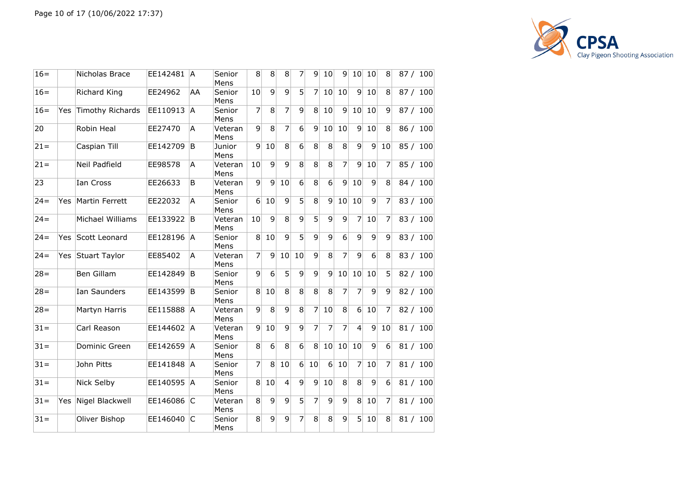

| $16=$  |            | Nicholas Brace    | EE142481   A |    | Senior<br>Mens  | 8               | 8               | 8               | 7                | 91              | 10 <sub>1</sub> | 91              |                  | 10 10           | 8                | 87 / 100 |
|--------|------------|-------------------|--------------|----|-----------------|-----------------|-----------------|-----------------|------------------|-----------------|-----------------|-----------------|------------------|-----------------|------------------|----------|
| $16=$  |            | Richard King      | EE24962      | AA | Senior<br>Mens  | 10              | 9               | $\overline{9}$  | 5 <sup>1</sup>   | 7               | 10 <sup>1</sup> | 10              | 9                | 10              | 8                | 87 / 100 |
| $16=$  | <b>Yes</b> | Timothy Richards  | EE110913 A   |    | Senior<br>Mens  | 7               | 8 <sup>1</sup>  | $\overline{7}$  | $\mathsf{q}$     | 8 <sup>1</sup>  | 10              | 9               | 10 <sup>1</sup>  | 10              | $\vert$          | 87 / 100 |
| 20     |            | Robin Heal        | EE27470      | A  | Veteran<br>Mens | $\overline{9}$  | $\overline{8}$  | $\overline{7}$  | $6 \overline{6}$ | 9               | 10              | 10              | 9                | 10              | 8                | 86 / 100 |
| $21 =$ |            | Caspian Till      | EE142709     | B. | Junior<br>Mens  | $\overline{9}$  | 10              | 8 <sup>1</sup>  | $6 \mid$         | 8               | 8 <sup>1</sup>  | 8               | $\overline{9}$   | $\vert 9 \vert$ | 10               | 85 / 100 |
| $21 =$ |            | Neil Padfield     | EE98578      | A  | Veteran<br>Mens | 10              | 9               | $\overline{9}$  | 8 <sup>1</sup>   | 8               | $\overline{8}$  | $\overline{7}$  | $\overline{9}$   | 10              | 7                | 85 / 100 |
| 23     |            | Ian Cross         | EE26633      | B  | Veteran<br>Mens | $\vert 9 \vert$ | $\vert 9 \vert$ | 10              | $6 \overline{6}$ | 8               | $\overline{6}$  | 9               | 10               | 9               | 8                | 84 / 100 |
| $24 =$ | <b>Yes</b> | Martin Ferrett    | EE22032      | Α  | Senior<br>Mens  | 6 <sup>1</sup>  | 10              | 9               | $\overline{5}$   | 8               | 9               | 10              | 10               | 9               | $\overline{7}$   | 83 / 100 |
| $24=$  |            | Michael Williams  | EE133922 B   |    | Veteran<br>Mens | 10              | $\overline{9}$  | 8 <sup>1</sup>  | $\vert$          | 5               | 9               | 9               | $\overline{7}$   | 10              | 7                | 83 / 100 |
| $24 =$ | Yes        | Scott Leonard     | EE128196 A   |    | Senior<br>Mens  | 8 <sup>1</sup>  | 10              | 9               | 5 <sup>1</sup>   | $\vert 9 \vert$ | 9               | $6 \vert$       | $\overline{9}$   | $\vert 9 \vert$ | $\overline{9}$   | 83 / 100 |
| $24=$  |            | Yes Stuart Taylor | EE85402      | A  | Veteran<br>Mens | 7               | $\overline{9}$  | 10 <sup>1</sup> | 10               | $\overline{9}$  | $\overline{8}$  | $\overline{7}$  | 9                | $6\overline{6}$ | 8                | 83 / 100 |
| $28 =$ |            | Ben Gillam        | EE142849 B   |    | Senior<br>Mens  | 9               | $\overline{6}$  | $\overline{5}$  | $\overline{9}$   | $\overline{9}$  | 9               | 10              | 10               | 10              | 5 <sup>1</sup>   | 82 / 100 |
| $28 =$ |            | Ian Saunders      | EE143599 B   |    | Senior<br>Mens  | 8 <sup>1</sup>  | 10              | 8 <sup>1</sup>  | 8 <sup>1</sup>   | 8 <sup>°</sup>  | 8 <sup>1</sup>  | 7               | $\overline{7}$   | $\overline{9}$  | $\overline{9}$   | 82 / 100 |
| $28 =$ |            | Martyn Harris     | EE115888 A   |    | Veteran<br>Mens | $\overline{9}$  | 8               | $\overline{9}$  | $\bf8$           | 7               | 10              | $\vert 8 \vert$ | $6 \overline{6}$ | 10              | 7                | 82 / 100 |
| $31 =$ |            | Carl Reason       | EE144602 A   |    | Veteran<br>Mens | 9 <sup>1</sup>  | 10              | $\overline{9}$  | $\overline{9}$   | 7               | $\overline{7}$  | 7               | $\overline{4}$   | 9               | 10               | 81 / 100 |
| $31 =$ |            | Dominic Green     | EE142659 A   |    | Senior<br>Mens  | 8               | 6               | 8               | $6 \mid$         | 8 <sup>°</sup>  | 10 <sup>1</sup> | 10              | 10               | 9               | $6 \overline{6}$ | 81 / 100 |
| $31 =$ |            | John Pitts        | EE141848 A   |    | Senior<br>Mens  | 7               | 8               | 10              | $6 \vert$        | 10              | 6 <sup>1</sup>  | 10              | $\overline{7}$   | 10              | 7                | 81 / 100 |
| $31 =$ |            | Nick Selby        | EE140595 A   |    | Senior<br>Mens  | 8 <sup>1</sup>  | 10              | $\vert 4 \vert$ | $\overline{9}$   | $\mathsf{g}$    | 10 <sup>1</sup> | 8               | 8 <sup>1</sup>   | 9               | 6                | 81 / 100 |
| $31 =$ | Yes        | Nigel Blackwell   | EE146086 C   |    | Veteran<br>Mens | 8 <sup>1</sup>  | $\overline{9}$  | $\overline{9}$  | 5 <sup>1</sup>   | $\overline{7}$  | 9               | $\overline{9}$  | 8 <sup>1</sup>   | 10              | 7                | 81 / 100 |
| $31 =$ |            | Oliver Bishop     | EE146040 C   |    | Senior<br>Mens  | 8 <sup>1</sup>  | $\overline{9}$  | 9               | 7                | 8 <sup>°</sup>  | 8               | $\overline{9}$  | 5 <sup>2</sup>   | 10              | 8                | 81 / 100 |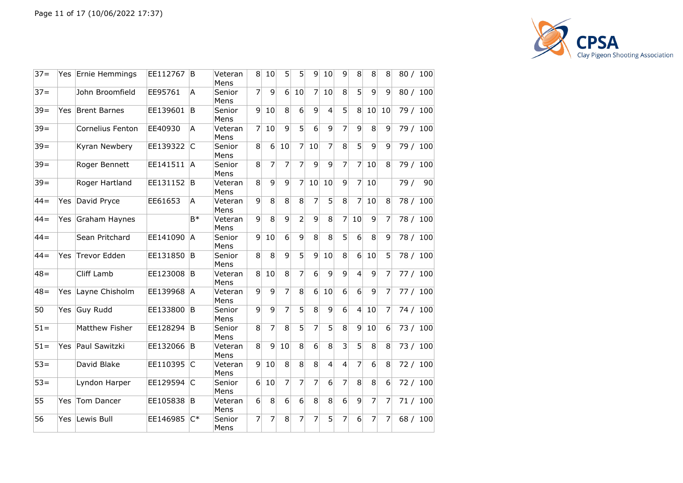

| $37 =$ | Yes. | Ernie Hemmings      | EE112767   | B            | Veteran<br>Mens | 8              | 10             | 5              | 5              | $\vert 9 \vert$  | 10               | 9               | 8              | 8              | 8              |     | 80 / 100 |
|--------|------|---------------------|------------|--------------|-----------------|----------------|----------------|----------------|----------------|------------------|------------------|-----------------|----------------|----------------|----------------|-----|----------|
| $37 =$ |      | John Broomfield     | EE95761    | A            | Senior<br>Mens  | 7              | 9              | 6 <sup>1</sup> | 10             | 7                | 10               | 8               | 5              | 9              | 9              |     | 80 / 100 |
| $39 =$ | Yes. | <b>Brent Barnes</b> | EE139601   | B            | Senior<br>Mens  | 9              | 10             | 8              | 6              | 9                | 4                | $\overline{5}$  | 8              | 10             | 10             |     | 79 / 100 |
| $39 =$ |      | Cornelius Fenton    | EE40930    | A            | Veteran<br>Mens | 7              | 10             | 9              | $\overline{5}$ | 6                | $\overline{9}$   | 7               | $\overline{9}$ | $\overline{8}$ | $\mathsf{q}$   |     | 79 / 100 |
| $39 =$ |      | Kyran Newbery       | EE139322 C |              | Senior<br>Mens  | 8              | 6              | 10             | 7              | 10               | 7                | 8               | 5              | 9              | $\mathsf{q}$   |     | 79 / 100 |
| $39 =$ |      | Roger Bennett       | EE141511 A |              | Senior<br>Mens  | 8              | 7              | 7              | 7              | 9                | 9                | $\overline{7}$  | 7              | 10             | 8              |     | 79 / 100 |
| $39 =$ |      | Roger Hartland      | EE131152 B |              | Veteran<br>Mens | 8              | $\overline{9}$ | $\overline{9}$ | 7              | 10               | 10               | $\overline{9}$  | 7              | 10             |                | 79/ | 90       |
| $44 =$ | Yes  | David Pryce         | EE61653    | A            | Veteran<br>Mens | 9              | 8              | 8              | 8              | 7                | 5                | 8 <sup>1</sup>  | 7              | 10             | 8              |     | 78 / 100 |
| $44 =$ | Yes  | Graham Haynes       |            | $B*$         | Veteran<br>Mens | $\overline{9}$ | 8              | 9              | $\overline{2}$ | 9                | 8                | 7               | 10             | 9              | 7              |     | 78 / 100 |
| $44 =$ |      | Sean Pritchard      | EE141090   | <sup>A</sup> | Senior<br>Mens  | 9              | 10             | 6              | 9              | $\overline{8}$   | $\overline{8}$   | $\overline{5}$  | $\overline{6}$ | $\overline{8}$ | 9              |     | 78 / 100 |
| $44 =$ | Yes. | <b>Trevor Edden</b> | EE131850   | B            | Senior<br>Mens  | 8              | 8              | 9              | 5 <sup>1</sup> | 9                | 10               | 8 <sup>1</sup>  | 6 <sup>1</sup> | 10             | 5              |     | 78 / 100 |
| $48 =$ |      | Cliff Lamb          | EE123008   | B            | Veteran<br>Mens | 8              | 10             | 8              | $\overline{7}$ | $6 \overline{6}$ | 9                | $\vert 9 \vert$ | 4              | 9              | 7              |     | 77 / 100 |
| $48 =$ | Yes  | Layne Chisholm      | EE139968 A |              | Veteran<br>Mens | $\overline{9}$ | 9              | $\overline{7}$ | 8 <sup>1</sup> | $6 \vert$        | 10               | $6 \mid$        | $6 \mid$       | 9              | $\overline{7}$ |     | 77 / 100 |
| 50     | Yes  | <b>Guy Rudd</b>     | EE133800 B |              | Senior<br>Mens  | $\overline{9}$ | $\overline{9}$ | $\overline{7}$ | $\overline{5}$ | 8                | $\overline{9}$   | $\overline{6}$  | $\overline{4}$ | 10             | 7              |     | 74 / 100 |
| $51 =$ |      | Matthew Fisher      | EE128294   | B            | Senior<br>Mens  | 8              | 7              | 8              | 5              | 7                | $\overline{5}$   | 8               | 9              | 10             | 6              |     | 73 / 100 |
| $51 =$ | Yes  | Paul Sawitzki       | EE132066 B |              | Veteran<br>Mens | 8              | 9              | 10             | 8              | 6                | 8                | $\overline{3}$  | 5              | 8              | 8              |     | 73 / 100 |
| $53 =$ |      | David Blake         | EE110395 C |              | Veteran<br>Mens | $\overline{9}$ | 10             | $\overline{8}$ | $\overline{8}$ | 8                | $\overline{4}$   | $\overline{4}$  | $\overline{7}$ | $\overline{6}$ | 8              |     | 72 / 100 |
| $53 =$ |      | Lyndon Harper       | EE129594   | C            | Senior<br>Mens  | 6              | 10             | 7              | 7              | 7                | $6 \overline{6}$ | 7               | 8              | 8              | 6              |     | 72/100   |
| 55     | Yes  | Tom Dancer          | EE105838   | B            | Veteran<br>Mens | 6              | 8              | 6              | 6              | 8                | 8                | $6\overline{6}$ | 9              | $\overline{7}$ | 7              |     | 71 / 100 |
| 56     | Yes  | Lewis Bull          | EE146985   | $C^*$        | Senior<br>Mens  | 7              | 7              | 8              | 7              | 7                | 5                | 7               | 6              | 7              | 7              |     | 68 / 100 |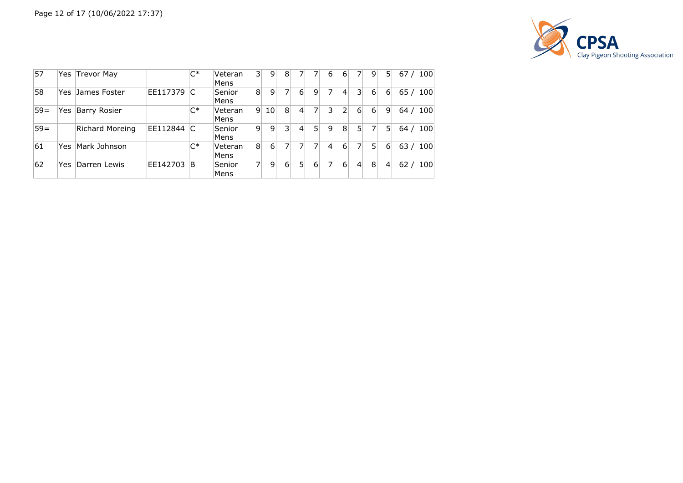

| 57    |      | Yes Trevor May      |          | $C^*$ | Veteran<br>Mens | 31             | 9              | 8              | 7              |   | 6 | 6 <sup>1</sup>  |                | 9        | 5              | 67/             | 100 |
|-------|------|---------------------|----------|-------|-----------------|----------------|----------------|----------------|----------------|---|---|-----------------|----------------|----------|----------------|-----------------|-----|
| 58    | Yes. | James Foster        | EE117379 | C     | Senior<br>Mens  | 8 <sup>1</sup> | 9              | 7              | 6              | 9 |   | $\vert 4 \vert$ | 3 <sup>1</sup> | 6        | $6 \mid$       | 65/             | 100 |
| $59=$ | Yes  | <b>Barry Rosier</b> |          | $C^*$ | Veteran<br>Mens | -91            | 10             | 8              | 4              |   | 3 | 2               | 6              | $6 \mid$ | 9              | 64 <sub>l</sub> | 100 |
| $59=$ |      | Richard Moreing     | EE112844 | C     | Senior<br>Mens  | $\overline{9}$ | $\overline{9}$ | $\overline{3}$ | $\overline{4}$ | 5 | 9 | 8               | 5 <sub>1</sub> | 7        | 51             | 64/             | 100 |
| 61    | Yes  | Mark Johnson        |          | $C^*$ | Veteran<br>Mens | 8 <sup>1</sup> | $6 \mid$       | $\overline{7}$ |                |   | 4 | 6               |                | 5        | $6 \mid$       | 63/             | 100 |
| 62    | Yes. | Darren Lewis        | EE142703 | B     | Senior<br>Mens  | 71             | 9 <sub>1</sub> | 6 <sup>1</sup> | 5              | 6 |   | 6               | $\overline{4}$ | 8        | $\overline{4}$ | 62/             | 100 |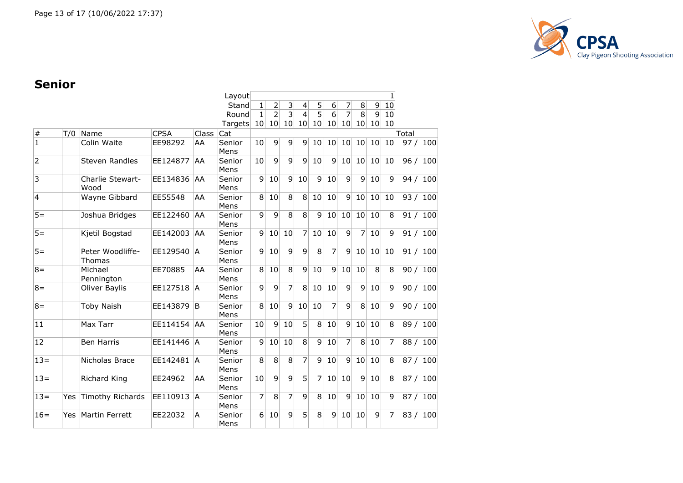

# **Senior**

|                |     |                         |             |           | Layout         |                 |                 |                |                         |                |                 |                 |                 |                 | 1  |       |     |
|----------------|-----|-------------------------|-------------|-----------|----------------|-----------------|-----------------|----------------|-------------------------|----------------|-----------------|-----------------|-----------------|-----------------|----|-------|-----|
|                |     |                         |             |           | Stand          | $\mathbf 1$     | $\overline{2}$  | 3              | 4                       | 5              | 6               | 7               | 8               | $\overline{9}$  | 10 |       |     |
|                |     |                         |             |           | Round          | $\mathbf{1}$    | $\overline{2}$  | $\overline{3}$ | $\overline{\mathbf{4}}$ | $\overline{5}$ | 6               | 7               | 8               | 9               | 10 |       |     |
|                |     |                         |             |           | Targets        | 10 <sup>1</sup> | 10 <sup>1</sup> | 10             | 10                      | 10             | 10              | 10 <sup>1</sup> | 10 <sub>1</sub> | 10 <sub>l</sub> | 10 |       |     |
| $\#$           | T/0 | Name                    | <b>CPSA</b> | Class     | Cat            |                 |                 |                |                         |                |                 |                 |                 |                 |    | Total |     |
| $\mathbf{1}$   |     | Colin Waite             | EE98292     | AA        | Senior         | 10              | 9               | 9              | $\overline{9}$          | 10             | 10 <sup>1</sup> | 10 <sup>1</sup> | 10 <sup>1</sup> | 10 <sup>1</sup> | 10 | 97/   | 100 |
|                |     |                         |             |           | Mens           |                 |                 |                |                         |                |                 |                 |                 |                 |    |       |     |
| $\overline{2}$ |     | <b>Steven Randles</b>   | EE124877    | AA        | Senior         | 10              | 9               | 9              | 9                       | 10             | 9               | 10              | 10 <sup>1</sup> | 10              | 10 | 96/   | 100 |
|                |     |                         |             |           | Mens           |                 |                 |                |                         |                |                 |                 |                 |                 |    |       |     |
| $\overline{3}$ |     | Charlie Stewart-        | EE134836    | <b>AA</b> | Senior         | $\overline{9}$  | 10              | $\mathsf{g}$   | 10                      | 9              | 10              | $\overline{9}$  | $\overline{9}$  | 10              | 9  | 94/   | 100 |
|                |     | Wood                    |             |           | Mens           |                 |                 |                |                         |                |                 |                 |                 |                 |    |       |     |
| $\overline{4}$ |     | Wayne Gibbard           | EE55548     | AA        | Senior         | 8               | 10              | $\overline{8}$ | 8                       | 10             | 10              | $\vert 9 \vert$ | 10              | 10              | 10 | 93/   | 100 |
|                |     |                         |             |           | Mens           |                 |                 | $\overline{8}$ |                         |                |                 |                 |                 |                 |    |       |     |
| $5 =$          |     | Joshua Bridges          | EE122460    | AA        | Senior<br>Mens | 9               | 9               |                | 8                       | 9              | 10              | 10              | 10 <sup>1</sup> | 10              | 8  | 91/   | 100 |
| $5 =$          |     | Kjetil Bogstad          | EE142003    | <b>AA</b> | Senior         | $\overline{9}$  | 10              | 10             | 7                       | 10             | 10              | $\overline{9}$  | 7               | 10              | 9  | 91/   | 100 |
|                |     |                         |             |           | Mens           |                 |                 |                |                         |                |                 |                 |                 |                 |    |       |     |
| $5 =$          |     | Peter Woodliffe-        | EE129540    | IA.       | Senior         | 9               | 10              | 9              | $\overline{9}$          | 8              | $\overline{7}$  | 9               | 10              | 10              | 10 | 91/   | 100 |
|                |     | Thomas                  |             |           | Mens           |                 |                 |                |                         |                |                 |                 |                 |                 |    |       |     |
| $8 =$          |     | Michael                 | EE70885     | AA        | Senior         | 8 <sup>1</sup>  | 10              | 8              | 9                       | 10             | 9               | 10              | 10              | 8               | 8  | 90/   | 100 |
|                |     | Pennington              |             |           | Mens           |                 |                 |                |                         |                |                 |                 |                 |                 |    |       |     |
| $8 =$          |     | Oliver Baylis           | EE127518    | ÌА        | Senior         | 9               | 9               | $\overline{7}$ | 8                       | 10             | 10              | $\overline{9}$  | $\overline{9}$  | 10              | 9  | 90/   | 100 |
|                |     |                         |             |           | Mens           |                 |                 |                |                         |                |                 |                 |                 |                 |    |       |     |
| $8 =$          |     | <b>Toby Naish</b>       | EE143879    | ΙB        | Senior         | 8 <sup>1</sup>  | 10              | $\overline{9}$ | 10                      | 10             | 7               | $\overline{9}$  | 8               | 10              | 9  | 90/   | 100 |
|                |     |                         |             |           | Mens           |                 |                 |                |                         |                |                 |                 |                 |                 |    |       |     |
| 11             |     | Max Tarr                | EE114154 AA |           | Senior         | 10              | 9               | 10             | 5                       | 8              | 10              | $\overline{9}$  | 10              | 10              | 8  | 89/   | 100 |
|                |     |                         |             |           | Mens           |                 |                 |                |                         |                |                 |                 |                 |                 |    |       |     |
| 12             |     | <b>Ben Harris</b>       | EE141446    | <b>A</b>  | Senior         | $\overline{9}$  | 10              | 10             | 8                       | 9              | 10              | $\overline{7}$  | $\,8\,$         | 10              | 7  | 88 /  | 100 |
|                |     |                         |             |           | Mens           |                 |                 |                |                         |                |                 |                 |                 |                 |    |       |     |
| $13=$          |     | Nicholas Brace          | EE142481 A  |           | Senior         | 8 <sup>1</sup>  | 8               | 8              | 7                       | 9              | 10              | 9               | 10              | 10              | 8  | 87/   | 100 |
|                |     |                         |             |           | Mens           |                 |                 |                |                         |                |                 |                 |                 |                 |    |       |     |
| $13=$          |     | Richard King            | EE24962     | AA        | Senior         | 10              | 9               | 9              | 5                       | 7              | 10              | 10              | 9               | 10              | 8  | 87/   | 100 |
|                |     |                         |             |           | Mens           |                 |                 |                |                         |                |                 |                 |                 |                 |    |       |     |
| $13=$          | Yes | <b>Timothy Richards</b> | EE110913    | IA.       | Senior         | 7               | 8               | 7              | 9                       | 8              | 10              | 9               | 10              | 10              | 9  | 87/   | 100 |
|                |     |                         |             |           | Mens           |                 |                 |                |                         |                |                 |                 |                 |                 |    |       |     |
| $16=$          | Yes | Martin Ferrett          | EE22032     | A         | Senior         | 6               | 10              | 9              | 5                       | 8              | 9               | 10              | 10              | 9               | 7  | 83/   | 100 |
|                |     |                         |             |           | Mens           |                 |                 |                |                         |                |                 |                 |                 |                 |    |       |     |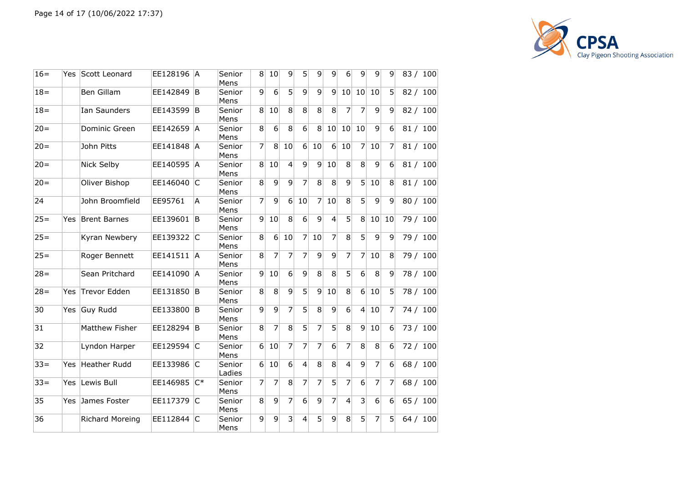

| $16=$  | Yes | Scott Leonard       | EE128196  A |        | Senior<br>Mens   | 8              | 10               | 9              | 51              | 9              | 9              | 6                | 9               | 9  | 9              |      | 83 / 100 |
|--------|-----|---------------------|-------------|--------|------------------|----------------|------------------|----------------|-----------------|----------------|----------------|------------------|-----------------|----|----------------|------|----------|
| $18 =$ |     | Ben Gillam          | EE142849    | ΙB     | Senior<br>Mens   | 9              | 6                | 5 <sup>2</sup> | $\vert 9 \vert$ | 9              | 9              | 10 <sup>1</sup>  | 10              | 10 | 5              |      | 82 / 100 |
| $18 =$ |     | <b>Ian Saunders</b> | EE143599    | ΙB.    | Senior<br>Mens   | 8              | 10               | 8              | 8               | 8              | 8              | $\overline{7}$   | $\overline{7}$  | 9  | 9              |      | 82 / 100 |
| $20 =$ |     | Dominic Green       | EE142659 A  |        | Senior<br>Mens   | 8              | $6\overline{6}$  | 8              | $\overline{6}$  | 8 <sup>1</sup> | 10             | 10 <sup>1</sup>  | 10              | 9  | 6              | 81/  | 100      |
| $20=$  |     | John Pitts          | EE141848 A  |        | Senior<br>Mens   | 7              | 8                | 10             | 6 <sup>1</sup>  | 10             | 6              | 10               | $\overline{7}$  | 10 | $\overline{7}$ |      | 81 / 100 |
| $20 =$ |     | Nick Selby          | EE140595 A  |        | Senior<br>Mens   | 8 <sup>1</sup> | 10               | $\overline{4}$ | 9               | $\mathbf{q}$   | 10             | 8                | 8               | 9  | 6              |      | 81 / 100 |
| $20 =$ |     | Oliver Bishop       | EE146040    | IC.    | Senior<br>Mens   | 8              | 9                | 9              | 7               | 8              | 8              | $\mathsf{q}$     | 5               | 10 | 8              |      | 81 / 100 |
| 24     |     | John Broomfield     | EE95761     | A      | Senior<br>Mens   | $\overline{7}$ | 9                | 6              | 10              | 7              | 10             | 8                | 5               | 9  | 9              |      | 80 / 100 |
| $25 =$ | Yes | <b>Brent Barnes</b> | EE139601    | ΙB     | Senior<br>Mens   | $\overline{9}$ | 10               | 8              | 6               | 9              | $\overline{4}$ | 5 <sup>1</sup>   | 8 <sup>1</sup>  | 10 | 10             | 79 / | 100      |
| $25 =$ |     | Kyran Newbery       | EE139322 C  |        | Senior<br>Mens   | 8              | $6 \overline{6}$ | 10             | $\overline{7}$  | 10             | 7              | 8 <sup>°</sup>   | 5               | 9  | 9              |      | 79 / 100 |
| $25 =$ |     | Roger Bennett       | EE141511 A  |        | Senior<br>Mens   | 8              | 7                | 7              | 7               | 9              | $\overline{9}$ | $\overline{7}$   | 7               | 10 | 8              |      | 79 / 100 |
| $28 =$ |     | Sean Pritchard      | EE141090 A  |        | Senior<br>Mens   | 9              | 10               | 6              | 9               | 8              | 8              | $\overline{5}$   | $6\phantom{1}$  | 8  | 9              |      | 78 / 100 |
| $28 =$ | Yes | Trevor Edden        | EE131850    | B      | Senior<br>Mens   | 8              | 8                | 9              | 5 <sup>1</sup>  | $\mathsf{q}$   | 10             | 8 <sup>1</sup>   | $6 \mid$        | 10 | 5              |      | 78 / 100 |
| 30     | Yes | <b>Guy Rudd</b>     | EE133800 B  |        | Senior<br>Mens   | 9              | 9                | 7              | 5               | 8              | 9              | $6\overline{6}$  | $\vert 4 \vert$ | 10 | $\overline{7}$ |      | 74 / 100 |
| 31     |     | Matthew Fisher      | EE128294 B  |        | Senior<br>Mens   | 8              | 7                | 8              | 5               | 7              | 5              | 8                | $\mathsf{q}$    | 10 | 6              |      | 73 / 100 |
| 32     |     | Lyndon Harper       | EE129594 C  |        | Senior<br>Mens   | $6 \mid$       | 10               | 7              | $\overline{7}$  | 7              | 6              | $\overline{7}$   | 8               | 8  | 6              |      | 72 / 100 |
| $33 =$ | Yes | Heather Rudd        | EE133986    | lC.    | Senior<br>Ladies | 6 <sup>1</sup> | 10               | 6              | $\vert 4 \vert$ | 8              | 8              | $\left 4\right $ | $\mathsf{q}$    | 7  | 6              |      | 68 / 100 |
| $33 =$ | Yes | Lewis Bull          | EE146985    | $ C^*$ | Senior<br>Mens   | 7              | 7                | 8              | 7               | 7              | 5              | 7                | 6               | 7  | 7              |      | 68 / 100 |
| 35     | Yes | James Foster        | EE117379    | IC.    | Senior<br>Mens   | 8              | 9                | $\overline{7}$ | 6               | 9              | 7              | $\left 4\right $ | 3               | 6  | 6              |      | 65 / 100 |
| 36     |     | Richard Moreing     | EE112844 C  |        | Senior<br>Mens   | 9              | 9                | 3              | 4               | 5              | 9              | 8                | 5               | 7  | 5              |      | 64 / 100 |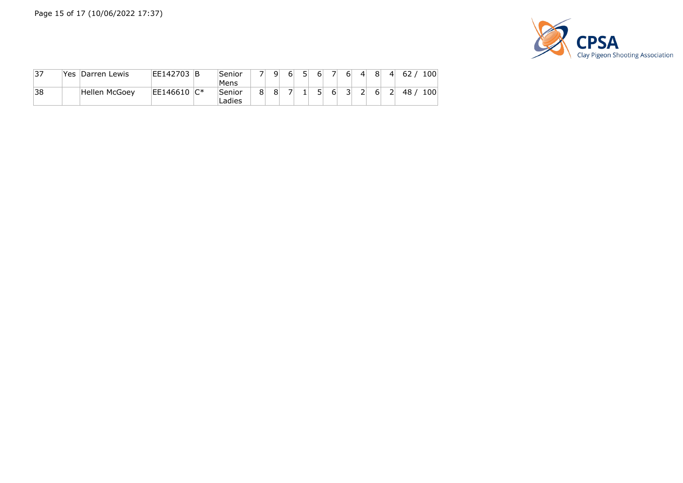

| $\overline{37}$ | Yes | Darren Lewis  | EE142703     | ΙB | Senior<br>Mens   | ⇁ | ۹l | 6 | 5  | 61 | 6 | $\vert$ | 8 | $\mathbf{4}^{\dagger}$ | 62 | 100 |
|-----------------|-----|---------------|--------------|----|------------------|---|----|---|----|----|---|---------|---|------------------------|----|-----|
| 38              |     | Hellen McGoey | EE146610  C* |    | Senior<br>Ladies | 8 | 8  |   | T. |    | 3 |         | ь | 2                      | 48 | 100 |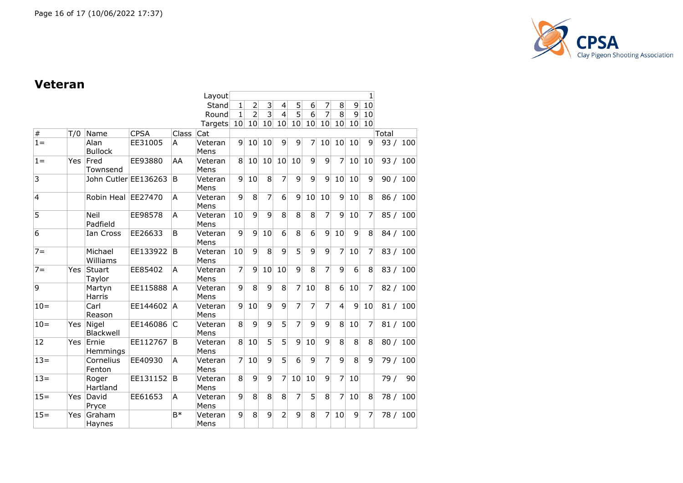

#### **Veteran**

|                 |            |                        |             |              | Layout          |                |                 |                |                          |                |                |                |                 |    | 1              |          |          |
|-----------------|------------|------------------------|-------------|--------------|-----------------|----------------|-----------------|----------------|--------------------------|----------------|----------------|----------------|-----------------|----|----------------|----------|----------|
|                 |            |                        |             |              | Stand           | 1              | $\overline{2}$  | 3              | $\overline{\mathcal{L}}$ | 5              | 6              | 7              | 8               | 9  | 10             |          |          |
|                 |            |                        |             |              | Round           | $\mathbf{1}$   | $\overline{2}$  | 3              | $\overline{4}$           | 5              | 6              | 7              | $\overline{8}$  | 9  | 10             |          |          |
|                 |            |                        |             |              | Targets         | 10             | 10 <sup>1</sup> | 10             | 10                       | 10             | 10             | 10             | 10 <sup>1</sup> | 10 | 10             |          |          |
| $\overline{\#}$ | T/0        | Name                   | <b>CPSA</b> | <b>Class</b> | Cat             |                |                 |                |                          |                |                |                |                 |    |                | Total    |          |
| $1 =$           |            | Alan<br><b>Bullock</b> | EE31005     | A            | Veteran<br>Mens | $\overline{9}$ | 10              | 10             | 9                        | 9              | 7              | 10             | 10              | 10 | 9              | 93/      | 100      |
| $1 =$           | Yes        | Fred<br>Townsend       | EE93880     | AA           | Veteran<br>Mens | 8              | 10              | 10             | 10                       | 10             | 9              | 9              | 7               | 10 | 10             | 93/      | 100      |
| 3               |            | John Cutler EE136263   |             | B            | Veteran<br>Mens | 9              | 10              | 8              | $\overline{7}$           | 9              | 9              | 9              | 10              | 10 | $\mathsf{q}$   |          | 90 / 100 |
| $\overline{4}$  |            | Robin Heal             | EE27470     | A            | Veteran<br>Mens | 9              | $\overline{8}$  | 7              | $\overline{6}$           | 9              | 10             | 10             | $\vert 9 \vert$ | 10 | 8              | 86 / 100 |          |
| $\overline{5}$  |            | Neil<br>Padfield       | EE98578     | A            | Veteran<br>Mens | 10             | 9               | $\overline{9}$ | 8                        | 8              | $\overline{8}$ | 7              | 9               | 10 | 7              | 85 / 100 |          |
| 6               |            | Ian Cross              | EE26633     | B            | Veteran<br>Mens | 9              | 9               | 10             | 6                        | 8              | $\overline{6}$ | 9              | 10              | 9  | 8              | 84 / 100 |          |
| $7 =$           |            | Michael<br>Williams    | EE133922    | B            | Veteran<br>Mens | 10             | $\overline{9}$  | 8              | $\overline{9}$           | $\overline{5}$ | $\overline{9}$ | $\overline{9}$ | 7               | 10 | 7              | 83 / 100 |          |
| $7 =$           | Yes        | Stuart<br>Taylor       | EE85402     | A            | Veteran<br>Mens | 7              | $\mathbf{q}$    | 10             | 10                       | 9              | 8              | 7              | 9               | 6  | 8              | 83 / 100 |          |
| 9               |            | Martyn<br>Harris       | EE115888    | IA.          | Veteran<br>Mens | 9              | 8               | 9              | 8                        | 7              | 10             | 8              | 6               | 10 | 7              | 82 / 100 |          |
| $10 =$          |            | Carl<br>Reason         | EE144602    | ÌА           | Veteran<br>Mens | 9              | 10              | 9              | 9                        | 7              | $\overline{7}$ | 7              | $\overline{4}$  | 9  | 10             | 81 / 100 |          |
| $10 =$          | Yes        | Nigel<br>Blackwell     | EE146086    | lC.          | Veteran<br>Mens | 8              | 9               | 9              | 5                        | 7              | 9              | 9              | 8 <sup>1</sup>  | 10 | 7              | 81/      | 100      |
| 12              | <b>Yes</b> | Ernie<br>Hemmings      | EE112767    | lB.          | Veteran<br>Mens | 8              | 10              | 5              | 5                        | 9              | 10             | 9              | 8               | 8  | 8              | 80/      | 100      |
| $13=$           |            | Cornelius<br>Fenton    | EE40930     | A            | Veteran<br>Mens | $\overline{7}$ | 10              | 9              | 5 <sup>1</sup>           | 6              | 9              | 7              | 9               | 8  | $\mathsf{q}$   | 79 /     | 100      |
| $13=$           |            | Roger<br>Hartland      | EE131152    | B            | Veteran<br>Mens | 8              | 9               | 9              | 7                        | 10             | 10             | $\mathsf{q}$   | 7               | 10 |                | 79 /     | 90       |
| $15 =$          | <b>Yes</b> | David<br>Pryce         | EE61653     | A            | Veteran<br>Mens | 9              | 8               | 8              | 8                        | $\overline{7}$ | 5              | 8              | 7               | 10 | 8              | 78 /     | 100      |
| $15 =$          | <b>Yes</b> | Graham<br>Haynes       |             | B*           | Veteran<br>Mens | 9              | 8               | 9              | $\overline{2}$           | 9              | 8              | 7              | 10              | 9  | $\overline{7}$ | 78 /     | 100      |